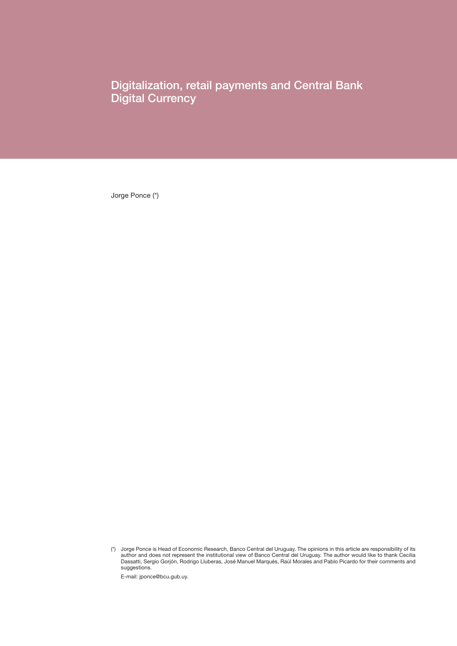Digitalization, retail payments and Central Bank Digital Currency

Jorge Ponce (\*)

E-mail: jponce@bcu.gub.uy.

<sup>(\*)</sup> Jorge Ponce is Head of Economic Research, Banco Central del Uruguay. The opinions in this article are responsibility of its author and does not represent the institutional view of Banco Central del Uruguay. The author would like to thank Cecilia Dassatti, Sergio Gorjón, Rodrigo Lluberas, José Manuel Marqués, Raúl Morales and Pablo Picardo for their comments and suggestions.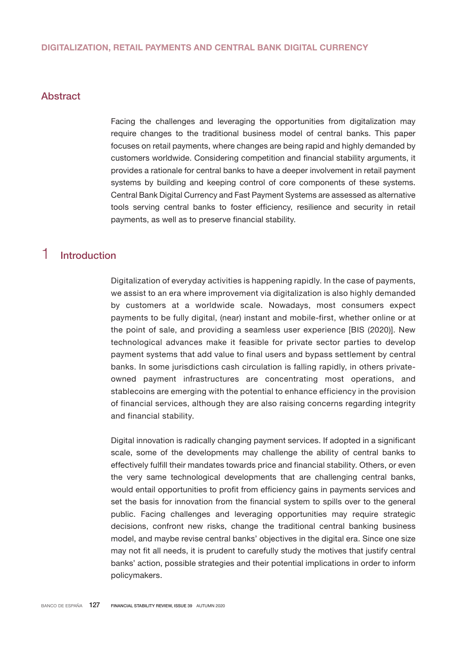## Abstract

Facing the challenges and leveraging the opportunities from digitalization may require changes to the traditional business model of central banks. This paper focuses on retail payments, where changes are being rapid and highly demanded by customers worldwide. Considering competition and financial stability arguments, it provides a rationale for central banks to have a deeper involvement in retail payment systems by building and keeping control of core components of these systems. Central Bank Digital Currency and Fast Payment Systems are assessed as alternative tools serving central banks to foster efficiency, resilience and security in retail payments, as well as to preserve financial stability.

## 1 Introduction

Digitalization of everyday activities is happening rapidly. In the case of payments, we assist to an era where improvement via digitalization is also highly demanded by customers at a worldwide scale. Nowadays, most consumers expect payments to be fully digital, (near) instant and mobile-first, whether online or at the point of sale, and providing a seamless user experience [BIS (2020)]. New technological advances make it feasible for private sector parties to develop payment systems that add value to final users and bypass settlement by central banks. In some jurisdictions cash circulation is falling rapidly, in others privateowned payment infrastructures are concentrating most operations, and stablecoins are emerging with the potential to enhance efficiency in the provision of financial services, although they are also raising concerns regarding integrity and financial stability.

Digital innovation is radically changing payment services. If adopted in a significant scale, some of the developments may challenge the ability of central banks to effectively fulfill their mandates towards price and financial stability. Others, or even the very same technological developments that are challenging central banks, would entail opportunities to profit from efficiency gains in payments services and set the basis for innovation from the financial system to spills over to the general public. Facing challenges and leveraging opportunities may require strategic decisions, confront new risks, change the traditional central banking business model, and maybe revise central banks' objectives in the digital era. Since one size may not fit all needs, it is prudent to carefully study the motives that justify central banks' action, possible strategies and their potential implications in order to inform policymakers.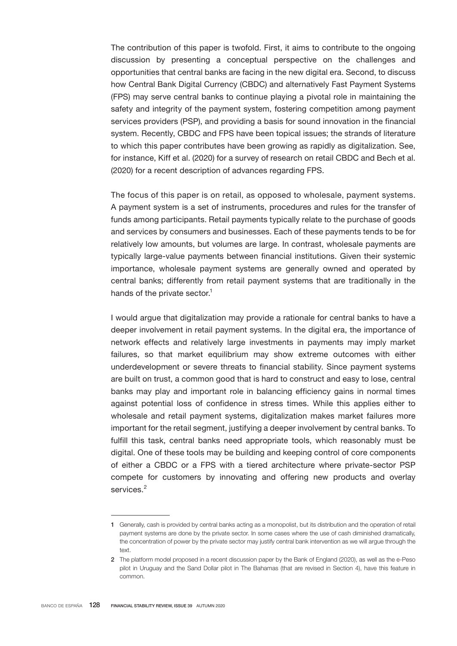The contribution of this paper is twofold. First, it aims to contribute to the ongoing discussion by presenting a conceptual perspective on the challenges and opportunities that central banks are facing in the new digital era. Second, to discuss how Central Bank Digital Currency (CBDC) and alternatively Fast Payment Systems (FPS) may serve central banks to continue playing a pivotal role in maintaining the safety and integrity of the payment system, fostering competition among payment services providers (PSP), and providing a basis for sound innovation in the financial system. Recently, CBDC and FPS have been topical issues; the strands of literature to which this paper contributes have been growing as rapidly as digitalization. See, for instance, Kiff et al. (2020) for a survey of research on retail CBDC and Bech et al. (2020) for a recent description of advances regarding FPS.

The focus of this paper is on retail, as opposed to wholesale, payment systems. A payment system is a set of instruments, procedures and rules for the transfer of funds among participants. Retail payments typically relate to the purchase of goods and services by consumers and businesses. Each of these payments tends to be for relatively low amounts, but volumes are large. In contrast, wholesale payments are typically large-value payments between financial institutions. Given their systemic importance, wholesale payment systems are generally owned and operated by central banks; differently from retail payment systems that are traditionally in the hands of the private sector.<sup>1</sup>

I would argue that digitalization may provide a rationale for central banks to have a deeper involvement in retail payment systems. In the digital era, the importance of network effects and relatively large investments in payments may imply market failures, so that market equilibrium may show extreme outcomes with either underdevelopment or severe threats to financial stability. Since payment systems are built on trust, a common good that is hard to construct and easy to lose, central banks may play and important role in balancing efficiency gains in normal times against potential loss of confidence in stress times. While this applies either to wholesale and retail payment systems, digitalization makes market failures more important for the retail segment, justifying a deeper involvement by central banks. To fulfill this task, central banks need appropriate tools, which reasonably must be digital. One of these tools may be building and keeping control of core components of either a CBDC or a FPS with a tiered architecture where private-sector PSP compete for customers by innovating and offering new products and overlay services.<sup>2</sup>

<sup>1</sup> Generally, cash is provided by central banks acting as a monopolist, but its distribution and the operation of retail payment systems are done by the private sector. In some cases where the use of cash diminished dramatically, the concentration of power by the private sector may justify central bank intervention as we will argue through the text.

<sup>2</sup> The platform model proposed in a recent discussion paper by the Bank of England (2020), as well as the e-Peso pilot in Uruguay and the Sand Dollar pilot in The Bahamas (that are revised in Section 4), have this feature in common.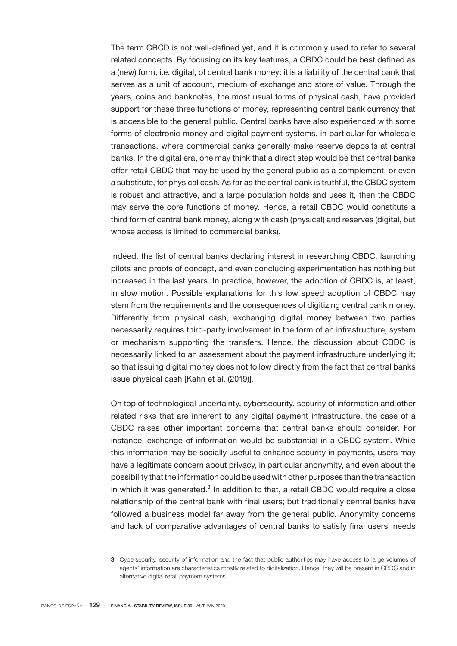The term CBCD is not well-defined yet, and it is commonly used to refer to several related concepts. By focusing on its key features, a CBDC could be best defined as a (new) form, i.e. digital, of central bank money: it is a liability of the central bank that serves as a unit of account, medium of exchange and store of value. Through the years, coins and banknotes, the most usual forms of physical cash, have provided support for these three functions of money, representing central bank currency that is accessible to the general public. Central banks have also experienced with some forms of electronic money and digital payment systems, in particular for wholesale transactions, where commercial banks generally make reserve deposits at central banks. In the digital era, one may think that a direct step would be that central banks offer retail CBDC that may be used by the general public as a complement, or even a substitute, for physical cash. As far as the central bank is truthful, the CBDC system is robust and attractive, and a large population holds and uses it, then the CBDC may serve the core functions of money. Hence, a retail CBDC would constitute a third form of central bank money, along with cash (physical) and reserves (digital, but whose access is limited to commercial banks).

Indeed, the list of central banks declaring interest in researching CBDC, launching pilots and proofs of concept, and even concluding experimentation has nothing but increased in the last years. In practice, however, the adoption of CBDC is, at least, in slow motion. Possible explanations for this low speed adoption of CBDC may stem from the requirements and the consequences of digitizing central bank money. Differently from physical cash, exchanging digital money between two parties necessarily requires third-party involvement in the form of an infrastructure, system or mechanism supporting the transfers. Hence, the discussion about CBDC is necessarily linked to an assessment about the payment infrastructure underlying it; so that issuing digital money does not follow directly from the fact that central banks issue physical cash [Kahn et al. (2019)].

On top of technological uncertainty, cybersecurity, security of information and other related risks that are inherent to any digital payment infrastructure, the case of a CBDC raises other important concerns that central banks should consider. For instance, exchange of information would be substantial in a CBDC system. While this information may be socially useful to enhance security in payments, users may have a legitimate concern about privacy, in particular anonymity, and even about the possibility that the information could be used with other purposes than the transaction in which it was generated. $3$  In addition to that, a retail CBDC would require a close relationship of the central bank with final users; but traditionally central banks have followed a business model far away from the general public. Anonymity concerns and lack of comparative advantages of central banks to satisfy final users' needs

<sup>3</sup> Cybersecurity, security of information and the fact that public authorities may have access to large volumes of agents' information are characteristics mostly related to digitalization. Hence, they will be present in CBDC and in alternative digital retail payment systems.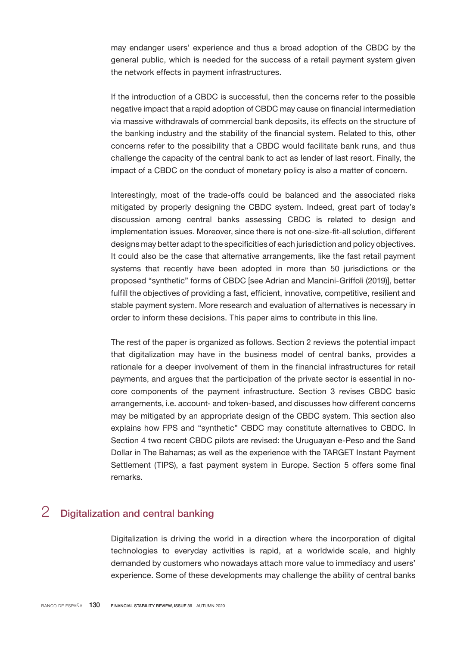may endanger users' experience and thus a broad adoption of the CBDC by the general public, which is needed for the success of a retail payment system given the network effects in payment infrastructures.

If the introduction of a CBDC is successful, then the concerns refer to the possible negative impact that a rapid adoption of CBDC may cause on financial intermediation via massive withdrawals of commercial bank deposits, its effects on the structure of the banking industry and the stability of the financial system. Related to this, other concerns refer to the possibility that a CBDC would facilitate bank runs, and thus challenge the capacity of the central bank to act as lender of last resort. Finally, the impact of a CBDC on the conduct of monetary policy is also a matter of concern.

Interestingly, most of the trade-offs could be balanced and the associated risks mitigated by properly designing the CBDC system. Indeed, great part of today's discussion among central banks assessing CBDC is related to design and implementation issues. Moreover, since there is not one-size-fit-all solution, different designs may better adapt to the specificities of each jurisdiction and policy objectives. It could also be the case that alternative arrangements, like the fast retail payment systems that recently have been adopted in more than 50 jurisdictions or the proposed "synthetic" forms of CBDC [see Adrian and Mancini-Griffoli (2019)], better fulfill the objectives of providing a fast, efficient, innovative, competitive, resilient and stable payment system. More research and evaluation of alternatives is necessary in order to inform these decisions. This paper aims to contribute in this line.

The rest of the paper is organized as follows. Section 2 reviews the potential impact that digitalization may have in the business model of central banks, provides a rationale for a deeper involvement of them in the financial infrastructures for retail payments, and argues that the participation of the private sector is essential in nocore components of the payment infrastructure. Section 3 revises CBDC basic arrangements, i.e. account- and token-based, and discusses how different concerns may be mitigated by an appropriate design of the CBDC system. This section also explains how FPS and "synthetic" CBDC may constitute alternatives to CBDC. In Section 4 two recent CBDC pilots are revised: the Uruguayan e-Peso and the Sand Dollar in The Bahamas; as well as the experience with the TARGET Instant Payment Settlement (TIPS), a fast payment system in Europe. Section 5 offers some final remarks.

# 2 Digitalization and central banking

Digitalization is driving the world in a direction where the incorporation of digital technologies to everyday activities is rapid, at a worldwide scale, and highly demanded by customers who nowadays attach more value to immediacy and users' experience. Some of these developments may challenge the ability of central banks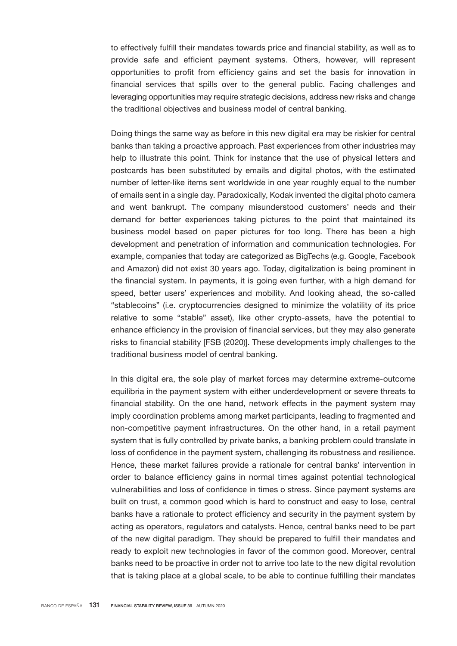to effectively fulfill their mandates towards price and financial stability, as well as to provide safe and efficient payment systems. Others, however, will represent opportunities to profit from efficiency gains and set the basis for innovation in financial services that spills over to the general public. Facing challenges and leveraging opportunities may require strategic decisions, address new risks and change the traditional objectives and business model of central banking.

Doing things the same way as before in this new digital era may be riskier for central banks than taking a proactive approach. Past experiences from other industries may help to illustrate this point. Think for instance that the use of physical letters and postcards has been substituted by emails and digital photos, with the estimated number of letter-like items sent worldwide in one year roughly equal to the number of emails sent in a single day. Paradoxically, Kodak invented the digital photo camera and went bankrupt. The company misunderstood customers' needs and their demand for better experiences taking pictures to the point that maintained its business model based on paper pictures for too long. There has been a high development and penetration of information and communication technologies. For example, companies that today are categorized as BigTechs (e.g. Google, Facebook and Amazon) did not exist 30 years ago. Today, digitalization is being prominent in the financial system. In payments, it is going even further, with a high demand for speed, better users' experiences and mobility. And looking ahead, the so-called "stablecoins" (i.e. cryptocurrencies designed to minimize the volatility of its price relative to some "stable" asset), like other crypto-assets, have the potential to enhance efficiency in the provision of financial services, but they may also generate risks to financial stability [FSB (2020)]. These developments imply challenges to the traditional business model of central banking.

In this digital era, the sole play of market forces may determine extreme-outcome equilibria in the payment system with either underdevelopment or severe threats to financial stability. On the one hand, network effects in the payment system may imply coordination problems among market participants, leading to fragmented and non-competitive payment infrastructures. On the other hand, in a retail payment system that is fully controlled by private banks, a banking problem could translate in loss of confidence in the payment system, challenging its robustness and resilience. Hence, these market failures provide a rationale for central banks' intervention in order to balance efficiency gains in normal times against potential technological vulnerabilities and loss of confidence in times o stress. Since payment systems are built on trust, a common good which is hard to construct and easy to lose, central banks have a rationale to protect efficiency and security in the payment system by acting as operators, regulators and catalysts. Hence, central banks need to be part of the new digital paradigm. They should be prepared to fulfill their mandates and ready to exploit new technologies in favor of the common good. Moreover, central banks need to be proactive in order not to arrive too late to the new digital revolution that is taking place at a global scale, to be able to continue fulfilling their mandates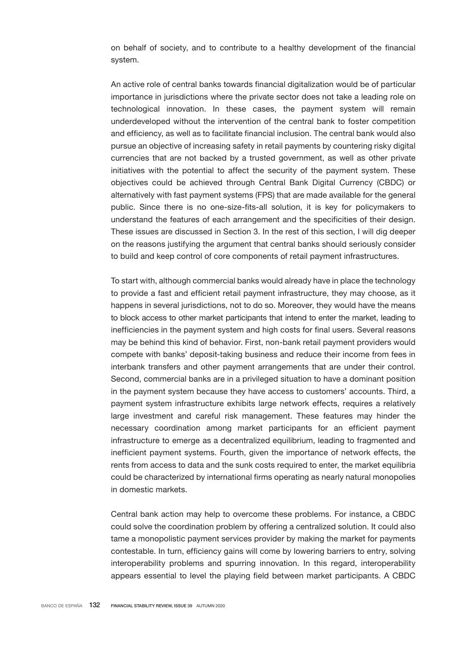on behalf of society, and to contribute to a healthy development of the financial system.

An active role of central banks towards financial digitalization would be of particular importance in jurisdictions where the private sector does not take a leading role on technological innovation. In these cases, the payment system will remain underdeveloped without the intervention of the central bank to foster competition and efficiency, as well as to facilitate financial inclusion. The central bank would also pursue an objective of increasing safety in retail payments by countering risky digital currencies that are not backed by a trusted government, as well as other private initiatives with the potential to affect the security of the payment system. These objectives could be achieved through Central Bank Digital Currency (CBDC) or alternatively with fast payment systems (FPS) that are made available for the general public. Since there is no one-size-fits-all solution, it is key for policymakers to understand the features of each arrangement and the specificities of their design. These issues are discussed in Section 3. In the rest of this section, I will dig deeper on the reasons justifying the argument that central banks should seriously consider to build and keep control of core components of retail payment infrastructures.

To start with, although commercial banks would already have in place the technology to provide a fast and efficient retail payment infrastructure, they may choose, as it happens in several jurisdictions, not to do so. Moreover, they would have the means to block access to other market participants that intend to enter the market, leading to inefficiencies in the payment system and high costs for final users. Several reasons may be behind this kind of behavior. First, non-bank retail payment providers would compete with banks' deposit-taking business and reduce their income from fees in interbank transfers and other payment arrangements that are under their control. Second, commercial banks are in a privileged situation to have a dominant position in the payment system because they have access to customers' accounts. Third, a payment system infrastructure exhibits large network effects, requires a relatively large investment and careful risk management. These features may hinder the necessary coordination among market participants for an efficient payment infrastructure to emerge as a decentralized equilibrium, leading to fragmented and inefficient payment systems. Fourth, given the importance of network effects, the rents from access to data and the sunk costs required to enter, the market equilibria could be characterized by international firms operating as nearly natural monopolies in domestic markets.

Central bank action may help to overcome these problems. For instance, a CBDC could solve the coordination problem by offering a centralized solution. It could also tame a monopolistic payment services provider by making the market for payments contestable. In turn, efficiency gains will come by lowering barriers to entry, solving interoperability problems and spurring innovation. In this regard, interoperability appears essential to level the playing field between market participants. A CBDC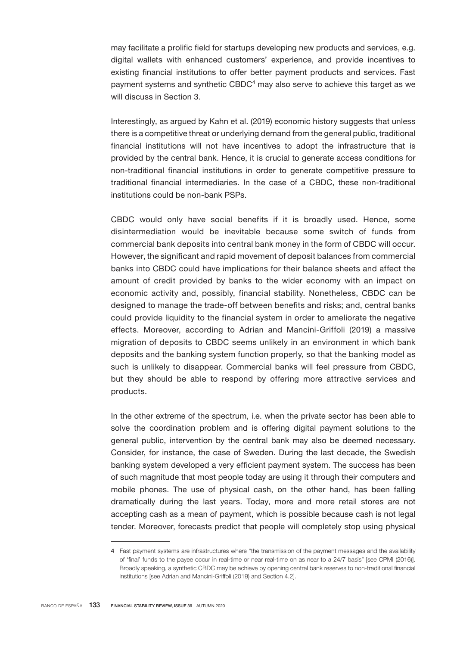may facilitate a prolific field for startups developing new products and services, e.g. digital wallets with enhanced customers' experience, and provide incentives to existing financial institutions to offer better payment products and services. Fast payment systems and synthetic CBDC $4$  may also serve to achieve this target as we will discuss in Section 3.

Interestingly, as argued by Kahn et al. (2019) economic history suggests that unless there is a competitive threat or underlying demand from the general public, traditional financial institutions will not have incentives to adopt the infrastructure that is provided by the central bank. Hence, it is crucial to generate access conditions for non-traditional financial institutions in order to generate competitive pressure to traditional financial intermediaries. In the case of a CBDC, these non-traditional institutions could be non-bank PSPs.

CBDC would only have social benefits if it is broadly used. Hence, some disintermediation would be inevitable because some switch of funds from commercial bank deposits into central bank money in the form of CBDC will occur. However, the significant and rapid movement of deposit balances from commercial banks into CBDC could have implications for their balance sheets and affect the amount of credit provided by banks to the wider economy with an impact on economic activity and, possibly, financial stability. Nonetheless, CBDC can be designed to manage the trade-off between benefits and risks; and, central banks could provide liquidity to the financial system in order to ameliorate the negative effects. Moreover, according to Adrian and Mancini-Griffoli (2019) a massive migration of deposits to CBDC seems unlikely in an environment in which bank deposits and the banking system function properly, so that the banking model as such is unlikely to disappear. Commercial banks will feel pressure from CBDC, but they should be able to respond by offering more attractive services and products.

In the other extreme of the spectrum, i.e. when the private sector has been able to solve the coordination problem and is offering digital payment solutions to the general public, intervention by the central bank may also be deemed necessary. Consider, for instance, the case of Sweden. During the last decade, the Swedish banking system developed a very efficient payment system. The success has been of such magnitude that most people today are using it through their computers and mobile phones. The use of physical cash, on the other hand, has been falling dramatically during the last years. Today, more and more retail stores are not accepting cash as a mean of payment, which is possible because cash is not legal tender. Moreover, forecasts predict that people will completely stop using physical

<sup>4</sup> Fast payment systems are infrastructures where "the transmission of the payment messages and the availability of 'final' funds to the payee occur in real-time or near real-time on as near to a 24/7 basis" [see CPMI (2016)]. Broadly speaking, a synthetic CBDC may be achieve by opening central bank reserves to non-traditional financial institutions [see Adrian and Mancini-Griffoli (2019) and Section 4.2].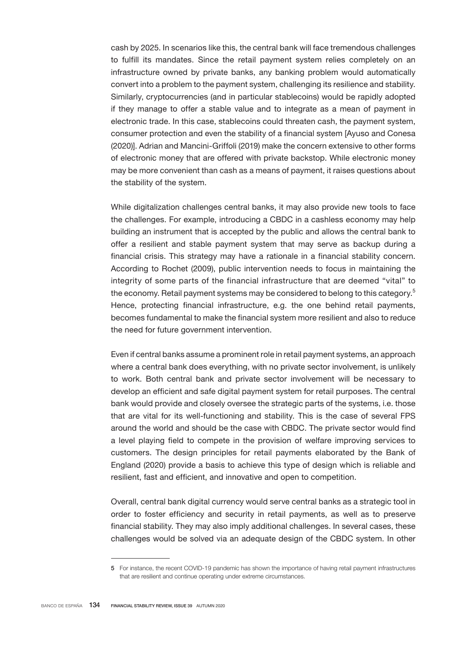cash by 2025. In scenarios like this, the central bank will face tremendous challenges to fulfill its mandates. Since the retail payment system relies completely on an infrastructure owned by private banks, any banking problem would automatically convert into a problem to the payment system, challenging its resilience and stability. Similarly, cryptocurrencies (and in particular stablecoins) would be rapidly adopted if they manage to offer a stable value and to integrate as a mean of payment in electronic trade. In this case, stablecoins could threaten cash, the payment system, consumer protection and even the stability of a financial system [Ayuso and Conesa (2020)]. Adrian and Mancini-Griffoli (2019) make the concern extensive to other forms of electronic money that are offered with private backstop. While electronic money may be more convenient than cash as a means of payment, it raises questions about the stability of the system.

While digitalization challenges central banks, it may also provide new tools to face the challenges. For example, introducing a CBDC in a cashless economy may help building an instrument that is accepted by the public and allows the central bank to offer a resilient and stable payment system that may serve as backup during a financial crisis. This strategy may have a rationale in a financial stability concern. According to Rochet (2009), public intervention needs to focus in maintaining the integrity of some parts of the financial infrastructure that are deemed "vital" to the economy. Retail payment systems may be considered to belong to this category.<sup>5</sup> Hence, protecting financial infrastructure, e.g. the one behind retail payments, becomes fundamental to make the financial system more resilient and also to reduce the need for future government intervention.

Even if central banks assume a prominent role in retail payment systems, an approach where a central bank does everything, with no private sector involvement, is unlikely to work. Both central bank and private sector involvement will be necessary to develop an efficient and safe digital payment system for retail purposes. The central bank would provide and closely oversee the strategic parts of the systems, i.e. those that are vital for its well-functioning and stability. This is the case of several FPS around the world and should be the case with CBDC. The private sector would find a level playing field to compete in the provision of welfare improving services to customers. The design principles for retail payments elaborated by the Bank of England (2020) provide a basis to achieve this type of design which is reliable and resilient, fast and efficient, and innovative and open to competition.

Overall, central bank digital currency would serve central banks as a strategic tool in order to foster efficiency and security in retail payments, as well as to preserve financial stability. They may also imply additional challenges. In several cases, these challenges would be solved via an adequate design of the CBDC system. In other

<sup>5</sup> For instance, the recent COVID-19 pandemic has shown the importance of having retail payment infrastructures that are resilient and continue operating under extreme circumstances.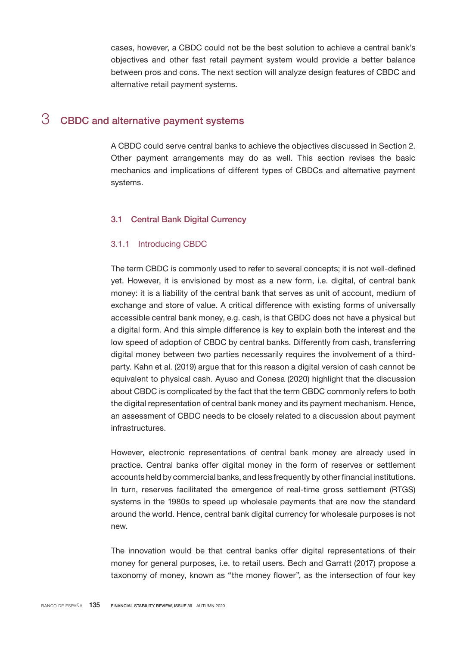cases, however, a CBDC could not be the best solution to achieve a central bank's objectives and other fast retail payment system would provide a better balance between pros and cons. The next section will analyze design features of CBDC and alternative retail payment systems.

# 3 CBDC and alternative payment systems

A CBDC could serve central banks to achieve the objectives discussed in Section 2. Other payment arrangements may do as well. This section revises the basic mechanics and implications of different types of CBDCs and alternative payment systems.

#### 3.1 Central Bank Digital Currency

#### 3.1.1 Introducing CBDC

The term CBDC is commonly used to refer to several concepts; it is not well-defined yet. However, it is envisioned by most as a new form, i.e. digital, of central bank money: it is a liability of the central bank that serves as unit of account, medium of exchange and store of value. A critical difference with existing forms of universally accessible central bank money, e.g. cash, is that CBDC does not have a physical but a digital form. And this simple difference is key to explain both the interest and the low speed of adoption of CBDC by central banks. Differently from cash, transferring digital money between two parties necessarily requires the involvement of a thirdparty. Kahn et al. (2019) argue that for this reason a digital version of cash cannot be equivalent to physical cash. Ayuso and Conesa (2020) highlight that the discussion about CBDC is complicated by the fact that the term CBDC commonly refers to both the digital representation of central bank money and its payment mechanism. Hence, an assessment of CBDC needs to be closely related to a discussion about payment infrastructures.

However, electronic representations of central bank money are already used in practice. Central banks offer digital money in the form of reserves or settlement accounts held by commercial banks, and less frequently by other financial institutions. In turn, reserves facilitated the emergence of real-time gross settlement (RTGS) systems in the 1980s to speed up wholesale payments that are now the standard around the world. Hence, central bank digital currency for wholesale purposes is not new.

The innovation would be that central banks offer digital representations of their money for general purposes, i.e. to retail users. Bech and Garratt (2017) propose a taxonomy of money, known as "the money flower", as the intersection of four key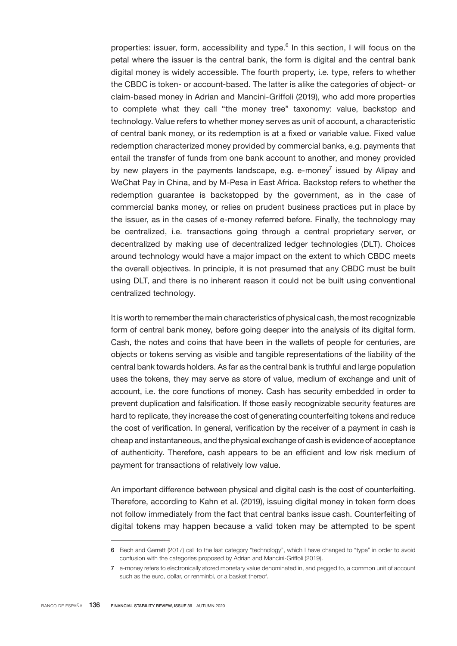properties: issuer, form, accessibility and type.<sup>6</sup> In this section, I will focus on the petal where the issuer is the central bank, the form is digital and the central bank digital money is widely accessible. The fourth property, i.e. type, refers to whether the CBDC is token- or account-based. The latter is alike the categories of object- or claim-based money in Adrian and Mancini-Griffoli (2019), who add more properties to complete what they call "the money tree" taxonomy: value, backstop and technology. Value refers to whether money serves as unit of account, a characteristic of central bank money, or its redemption is at a fixed or variable value. Fixed value redemption characterized money provided by commercial banks, e.g. payments that entail the transfer of funds from one bank account to another, and money provided by new players in the payments landscape, e.g. e-money $\bar{y}$  issued by Alipay and WeChat Pay in China, and by M-Pesa in East Africa. Backstop refers to whether the redemption guarantee is backstopped by the government, as in the case of commercial banks money, or relies on prudent business practices put in place by the issuer, as in the cases of e-money referred before. Finally, the technology may be centralized, i.e. transactions going through a central proprietary server, or decentralized by making use of decentralized ledger technologies (DLT). Choices around technology would have a major impact on the extent to which CBDC meets the overall objectives. In principle, it is not presumed that any CBDC must be built using DLT, and there is no inherent reason it could not be built using conventional centralized technology.

It is worth to remember the main characteristics of physical cash, the most recognizable form of central bank money, before going deeper into the analysis of its digital form. Cash, the notes and coins that have been in the wallets of people for centuries, are objects or tokens serving as visible and tangible representations of the liability of the central bank towards holders. As far as the central bank is truthful and large population uses the tokens, they may serve as store of value, medium of exchange and unit of account, i.e. the core functions of money. Cash has security embedded in order to prevent duplication and falsification. If those easily recognizable security features are hard to replicate, they increase the cost of generating counterfeiting tokens and reduce the cost of verification. In general, verification by the receiver of a payment in cash is cheap and instantaneous, and the physical exchange of cash is evidence of acceptance of authenticity. Therefore, cash appears to be an efficient and low risk medium of payment for transactions of relatively low value.

An important difference between physical and digital cash is the cost of counterfeiting. Therefore, according to Kahn et al. (2019), issuing digital money in token form does not follow immediately from the fact that central banks issue cash. Counterfeiting of digital tokens may happen because a valid token may be attempted to be spent

<sup>6</sup> Bech and Garratt (2017) call to the last category "technology", which I have changed to "type" in order to avoid confusion with the categories proposed by Adrian and Mancini-Griffoli (2019).

<sup>7</sup> e-money refers to electronically stored monetary value denominated in, and pegged to, a common unit of account such as the euro, dollar, or renminbi, or a basket thereof.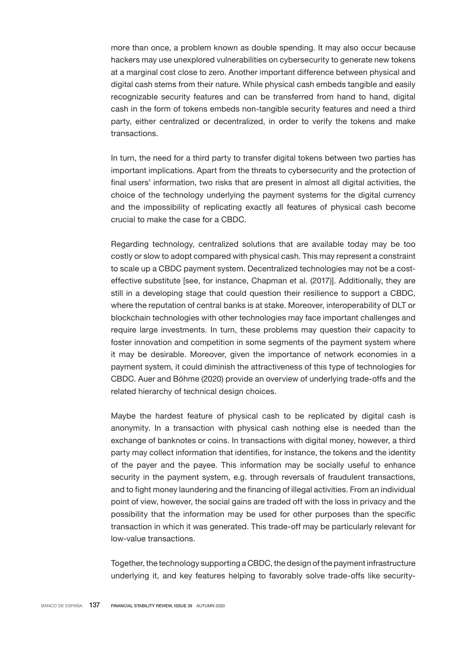more than once, a problem known as double spending. It may also occur because hackers may use unexplored vulnerabilities on cybersecurity to generate new tokens at a marginal cost close to zero. Another important difference between physical and digital cash stems from their nature. While physical cash embeds tangible and easily recognizable security features and can be transferred from hand to hand, digital cash in the form of tokens embeds non-tangible security features and need a third party, either centralized or decentralized, in order to verify the tokens and make transactions.

In turn, the need for a third party to transfer digital tokens between two parties has important implications. Apart from the threats to cybersecurity and the protection of final users' information, two risks that are present in almost all digital activities, the choice of the technology underlying the payment systems for the digital currency and the impossibility of replicating exactly all features of physical cash become crucial to make the case for a CBDC.

Regarding technology, centralized solutions that are available today may be too costly or slow to adopt compared with physical cash. This may represent a constraint to scale up a CBDC payment system. Decentralized technologies may not be a costeffective substitute [see, for instance, Chapman et al. (2017)]. Additionally, they are still in a developing stage that could question their resilience to support a CBDC, where the reputation of central banks is at stake. Moreover, interoperability of DLT or blockchain technologies with other technologies may face important challenges and require large investments. In turn, these problems may question their capacity to foster innovation and competition in some segments of the payment system where it may be desirable. Moreover, given the importance of network economies in a payment system, it could diminish the attractiveness of this type of technologies for CBDC. Auer and Böhme (2020) provide an overview of underlying trade-offs and the related hierarchy of technical design choices.

Maybe the hardest feature of physical cash to be replicated by digital cash is anonymity. In a transaction with physical cash nothing else is needed than the exchange of banknotes or coins. In transactions with digital money, however, a third party may collect information that identifies, for instance, the tokens and the identity of the payer and the payee. This information may be socially useful to enhance security in the payment system, e.g. through reversals of fraudulent transactions, and to fight money laundering and the financing of illegal activities. From an individual point of view, however, the social gains are traded off with the loss in privacy and the possibility that the information may be used for other purposes than the specific transaction in which it was generated. This trade-off may be particularly relevant for low-value transactions.

Together, the technology supporting a CBDC, the design of the payment infrastructure underlying it, and key features helping to favorably solve trade-offs like security-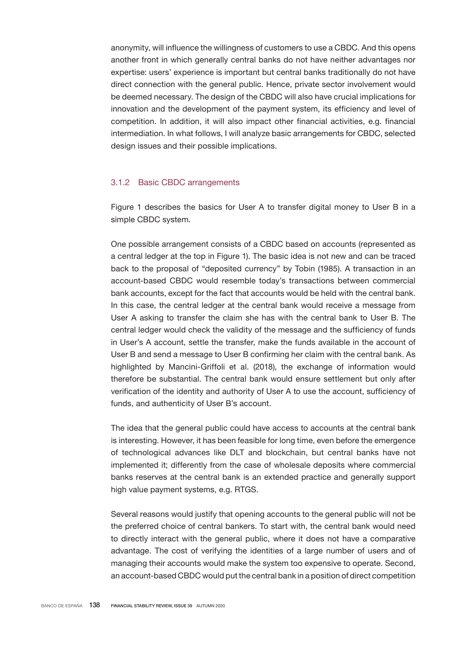anonymity, will influence the willingness of customers to use a CBDC. And this opens another front in which generally central banks do not have neither advantages nor expertise: users' experience is important but central banks traditionally do not have direct connection with the general public. Hence, private sector involvement would be deemed necessary. The design of the CBDC will also have crucial implications for innovation and the development of the payment system, its efficiency and level of competition. In addition, it will also impact other financial activities, e.g. financial intermediation. In what follows, I will analyze basic arrangements for CBDC, selected design issues and their possible implications.

### 3.1.2 Basic CBDC arrangements

Figure 1 describes the basics for User A to transfer digital money to User B in a simple CBDC system.

One possible arrangement consists of a CBDC based on accounts (represented as a central ledger at the top in Figure 1). The basic idea is not new and can be traced back to the proposal of "deposited currency" by Tobin (1985). A transaction in an account-based CBDC would resemble today's transactions between commercial bank accounts, except for the fact that accounts would be held with the central bank. In this case, the central ledger at the central bank would receive a message from User A asking to transfer the claim she has with the central bank to User B. The central ledger would check the validity of the message and the sufficiency of funds in User's A account, settle the transfer, make the funds available in the account of User B and send a message to User B confirming her claim with the central bank. As highlighted by Mancini-Griffoli et al. (2018), the exchange of information would therefore be substantial. The central bank would ensure settlement but only after verification of the identity and authority of User A to use the account, sufficiency of funds, and authenticity of User B's account.

The idea that the general public could have access to accounts at the central bank is interesting. However, it has been feasible for long time, even before the emergence of technological advances like DLT and blockchain, but central banks have not implemented it; differently from the case of wholesale deposits where commercial banks reserves at the central bank is an extended practice and generally support high value payment systems, e.g. RTGS.

Several reasons would justify that opening accounts to the general public will not be the preferred choice of central bankers. To start with, the central bank would need to directly interact with the general public, where it does not have a comparative advantage. The cost of verifying the identities of a large number of users and of managing their accounts would make the system too expensive to operate. Second, an account-based CBDC would put the central bank in a position of direct competition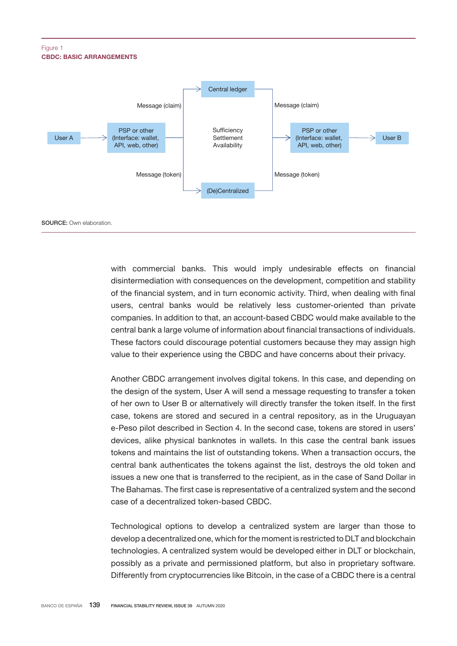#### CBDC: BASIC ARRANGEMENTS Figure 1



with commercial banks. This would imply undesirable effects on financial disintermediation with consequences on the development, competition and stability of the financial system, and in turn economic activity. Third, when dealing with final users, central banks would be relatively less customer-oriented than private companies. In addition to that, an account-based CBDC would make available to the central bank a large volume of information about financial transactions of individuals. These factors could discourage potential customers because they may assign high value to their experience using the CBDC and have concerns about their privacy.

Another CBDC arrangement involves digital tokens. In this case, and depending on the design of the system, User A will send a message requesting to transfer a token of her own to User B or alternatively will directly transfer the token itself. In the first case, tokens are stored and secured in a central repository, as in the Uruguayan e-Peso pilot described in Section 4. In the second case, tokens are stored in users' devices, alike physical banknotes in wallets. In this case the central bank issues tokens and maintains the list of outstanding tokens. When a transaction occurs, the central bank authenticates the tokens against the list, destroys the old token and issues a new one that is transferred to the recipient, as in the case of Sand Dollar in The Bahamas. The first case is representative of a centralized system and the second case of a decentralized token-based CBDC.

Technological options to develop a centralized system are larger than those to develop a decentralized one, which for the moment is restricted to DLT and blockchain technologies. A centralized system would be developed either in DLT or blockchain, possibly as a private and permissioned platform, but also in proprietary software. Differently from cryptocurrencies like Bitcoin, in the case of a CBDC there is a central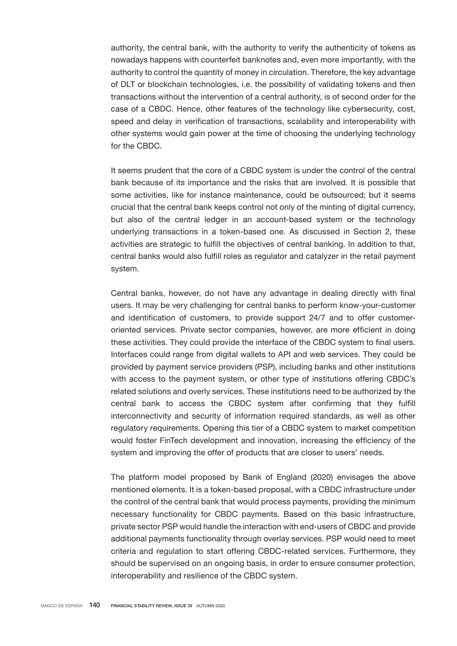authority, the central bank, with the authority to verify the authenticity of tokens as nowadays happens with counterfeit banknotes and, even more importantly, with the authority to control the quantity of money in circulation. Therefore, the key advantage of DLT or blockchain technologies, i.e. the possibility of validating tokens and then transactions without the intervention of a central authority, is of second order for the case of a CBDC. Hence, other features of the technology like cybersecurity, cost, speed and delay in verification of transactions, scalability and interoperability with other systems would gain power at the time of choosing the underlying technology for the CBDC.

It seems prudent that the core of a CBDC system is under the control of the central bank because of its importance and the risks that are involved. It is possible that some activities, like for instance maintenance, could be outsourced; but it seems crucial that the central bank keeps control not only of the minting of digital currency, but also of the central ledger in an account-based system or the technology underlying transactions in a token-based one. As discussed in Section 2, these activities are strategic to fulfill the objectives of central banking. In addition to that, central banks would also fulfill roles as regulator and catalyzer in the retail payment system.

Central banks, however, do not have any advantage in dealing directly with final users. It may be very challenging for central banks to perform know-your-customer and identification of customers, to provide support 24/7 and to offer customeroriented services. Private sector companies, however, are more efficient in doing these activities. They could provide the interface of the CBDC system to final users. Interfaces could range from digital wallets to API and web services. They could be provided by payment service providers (PSP), including banks and other institutions with access to the payment system, or other type of institutions offering CBDC's related solutions and overly services. These institutions need to be authorized by the central bank to access the CBDC system after confirming that they fulfill interconnectivity and security of information required standards, as well as other regulatory requirements. Opening this tier of a CBDC system to market competition would foster fintech development and innovation, increasing the efficiency of the system and improving the offer of products that are closer to users' needs.

The platform model proposed by Bank of England (2020) envisages the above mentioned elements. It is a token-based proposal, with a CBDC infrastructure under the control of the central bank that would process payments, providing the minimum necessary functionality for CBDC payments. Based on this basic infrastructure, private sector PSP would handle the interaction with end-users of CBDC and provide additional payments functionality through overlay services. PSP would need to meet criteria and regulation to start offering CBDC-related services. Furthermore, they should be supervised on an ongoing basis, in order to ensure consumer protection, interoperability and resilience of the CBDC system.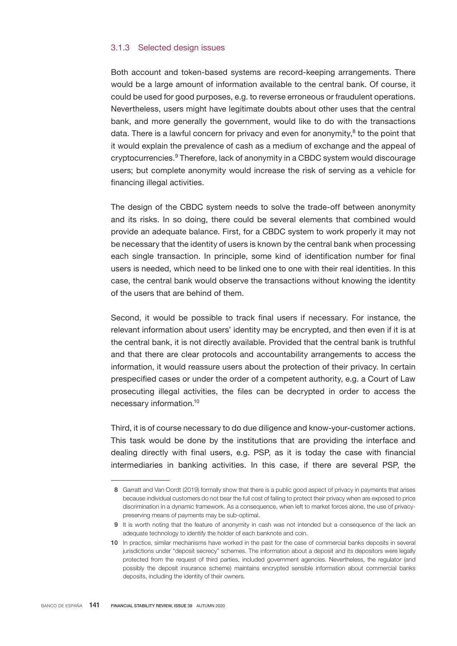#### 3.1.3 Selected design issues

Both account and token-based systems are record-keeping arrangements. There would be a large amount of information available to the central bank. Of course, it could be used for good purposes, e.g. to reverse erroneous or fraudulent operations. Nevertheless, users might have legitimate doubts about other uses that the central bank, and more generally the government, would like to do with the transactions data. There is a lawful concern for privacy and even for anonymity,<sup>8</sup> to the point that it would explain the prevalence of cash as a medium of exchange and the appeal of cryptocurrencies.<sup>9</sup> Therefore, lack of anonymity in a CBDC system would discourage users; but complete anonymity would increase the risk of serving as a vehicle for financing illegal activities.

The design of the CBDC system needs to solve the trade-off between anonymity and its risks. In so doing, there could be several elements that combined would provide an adequate balance. First, for a CBDC system to work properly it may not be necessary that the identity of users is known by the central bank when processing each single transaction. In principle, some kind of identification number for final users is needed, which need to be linked one to one with their real identities. In this case, the central bank would observe the transactions without knowing the identity of the users that are behind of them.

Second, it would be possible to track final users if necessary. For instance, the relevant information about users' identity may be encrypted, and then even if it is at the central bank, it is not directly available. Provided that the central bank is truthful and that there are clear protocols and accountability arrangements to access the information, it would reassure users about the protection of their privacy. In certain prespecified cases or under the order of a competent authority, e.g. a Court of Law prosecuting illegal activities, the files can be decrypted in order to access the necessary information.<sup>10</sup>

Third, it is of course necessary to do due diligence and know-your-customer actions. This task would be done by the institutions that are providing the interface and dealing directly with final users, e.g. PSP, as it is today the case with financial intermediaries in banking activities. In this case, if there are several PSP, the

<sup>8</sup> Garratt and Van Oordt (2019) formally show that there is a public good aspect of privacy in payments that arises because individual customers do not bear the full cost of failing to protect their privacy when are exposed to price discrimination in a dynamic framework. As a consequence, when left to market forces alone, the use of privacypreserving means of payments may be sub-optimal.

<sup>9</sup> It is worth noting that the feature of anonymity in cash was not intended but a consequence of the lack an adequate technology to identify the holder of each banknote and coin.

<sup>10</sup> In practice, similar mechanisms have worked in the past for the case of commercial banks deposits in several jurisdictions under "deposit secrecy" schemes. The information about a deposit and its depositors were legally protected from the request of third parties, included government agencies. Nevertheless, the regulator (and possibly the deposit insurance scheme) maintains encrypted sensible information about commercial banks deposits, including the identity of their owners.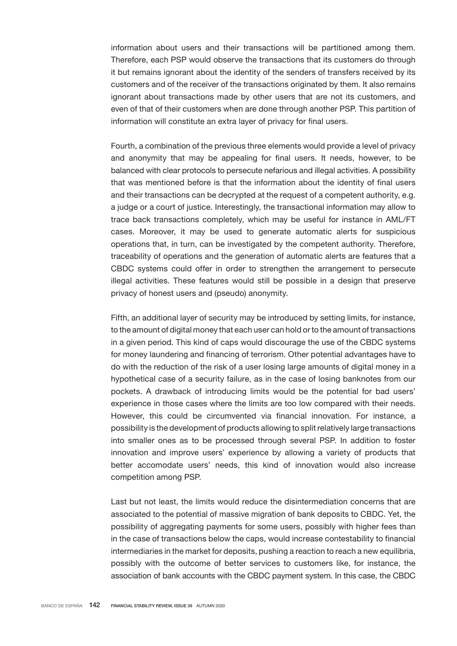information about users and their transactions will be partitioned among them. Therefore, each PSP would observe the transactions that its customers do through it but remains ignorant about the identity of the senders of transfers received by its customers and of the receiver of the transactions originated by them. It also remains ignorant about transactions made by other users that are not its customers, and even of that of their customers when are done through another PSP. This partition of information will constitute an extra layer of privacy for final users.

Fourth, a combination of the previous three elements would provide a level of privacy and anonymity that may be appealing for final users. It needs, however, to be balanced with clear protocols to persecute nefarious and illegal activities. A possibility that was mentioned before is that the information about the identity of final users and their transactions can be decrypted at the request of a competent authority, e.g. a judge or a court of justice. Interestingly, the transactional information may allow to trace back transactions completely, which may be useful for instance in AML/FT cases. Moreover, it may be used to generate automatic alerts for suspicious operations that, in turn, can be investigated by the competent authority. Therefore, traceability of operations and the generation of automatic alerts are features that a CBDC systems could offer in order to strengthen the arrangement to persecute illegal activities. These features would still be possible in a design that preserve privacy of honest users and (pseudo) anonymity.

Fifth, an additional layer of security may be introduced by setting limits, for instance, to the amount of digital money that each user can hold or to the amount of transactions in a given period. This kind of caps would discourage the use of the CBDC systems for money laundering and financing of terrorism. Other potential advantages have to do with the reduction of the risk of a user losing large amounts of digital money in a hypothetical case of a security failure, as in the case of losing banknotes from our pockets. A drawback of introducing limits would be the potential for bad users' experience in those cases where the limits are too low compared with their needs. However, this could be circumvented via financial innovation. For instance, a possibility is the development of products allowing to split relatively large transactions into smaller ones as to be processed through several PSP. In addition to foster innovation and improve users' experience by allowing a variety of products that better accomodate users' needs, this kind of innovation would also increase competition among PSP.

Last but not least, the limits would reduce the disintermediation concerns that are associated to the potential of massive migration of bank deposits to CBDC. Yet, the possibility of aggregating payments for some users, possibly with higher fees than in the case of transactions below the caps, would increase contestability to financial intermediaries in the market for deposits, pushing a reaction to reach a new equilibria, possibly with the outcome of better services to customers like, for instance, the association of bank accounts with the CBDC payment system. In this case, the CBDC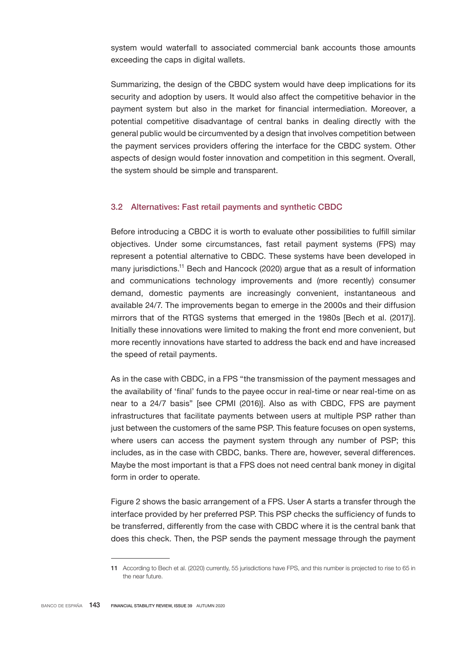system would waterfall to associated commercial bank accounts those amounts exceeding the caps in digital wallets.

Summarizing, the design of the CBDC system would have deep implications for its security and adoption by users. It would also affect the competitive behavior in the payment system but also in the market for financial intermediation. Moreover, a potential competitive disadvantage of central banks in dealing directly with the general public would be circumvented by a design that involves competition between the payment services providers offering the interface for the CBDC system. Other aspects of design would foster innovation and competition in this segment. Overall, the system should be simple and transparent.

#### 3.2 Alternatives: Fast retail payments and synthetic CBDC

Before introducing a CBDC it is worth to evaluate other possibilities to fulfill similar objectives. Under some circumstances, fast retail payment systems (FPS) may represent a potential alternative to CBDC. These systems have been developed in many jurisdictions.11 Bech and Hancock (2020) argue that as a result of information and communications technology improvements and (more recently) consumer demand, domestic payments are increasingly convenient, instantaneous and available 24/7. The improvements began to emerge in the 2000s and their diffusion mirrors that of the RTGS systems that emerged in the 1980s [Bech et al. (2017)]. Initially these innovations were limited to making the front end more convenient, but more recently innovations have started to address the back end and have increased the speed of retail payments.

As in the case with CBDC, in a FPS "the transmission of the payment messages and the availability of 'final' funds to the payee occur in real-time or near real-time on as near to a 24/7 basis" [see CPMI (2016)]. Also as with CBDC, FPS are payment infrastructures that facilitate payments between users at multiple PSP rather than just between the customers of the same PSP. This feature focuses on open systems, where users can access the payment system through any number of PSP; this includes, as in the case with CBDC, banks. There are, however, several differences. Maybe the most important is that a FPS does not need central bank money in digital form in order to operate.

Figure 2 shows the basic arrangement of a FPS. User A starts a transfer through the interface provided by her preferred PSP. This PSP checks the sufficiency of funds to be transferred, differently from the case with CBDC where it is the central bank that does this check. Then, the PSP sends the payment message through the payment

<sup>11</sup> According to Bech et al. (2020) currently, 55 jurisdictions have FPS, and this number is projected to rise to 65 in the near future.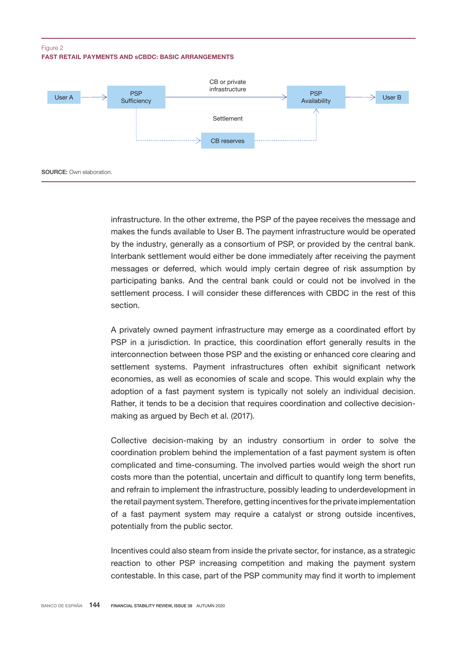#### FAST RETAIL PAYMENTS AND sCBDC: BASIC ARRANGEMENTS Figure 2



infrastructure. In the other extreme, the PSP of the payee receives the message and makes the funds available to User B. The payment infrastructure would be operated by the industry, generally as a consortium of PSP, or provided by the central bank. Interbank settlement would either be done immediately after receiving the payment messages or deferred, which would imply certain degree of risk assumption by participating banks. And the central bank could or could not be involved in the settlement process. I will consider these differences with CBDC in the rest of this section.

A privately owned payment infrastructure may emerge as a coordinated effort by PSP in a jurisdiction. In practice, this coordination effort generally results in the interconnection between those PSP and the existing or enhanced core clearing and settlement systems. Payment infrastructures often exhibit significant network economies, as well as economies of scale and scope. This would explain why the adoption of a fast payment system is typically not solely an individual decision. Rather, it tends to be a decision that requires coordination and collective decisionmaking as argued by Bech et al. (2017).

Collective decision-making by an industry consortium in order to solve the coordination problem behind the implementation of a fast payment system is often complicated and time-consuming. The involved parties would weigh the short run costs more than the potential, uncertain and difficult to quantify long term benefits, and refrain to implement the infrastructure, possibly leading to underdevelopment in the retail payment system. Therefore, getting incentives for the private implementation of a fast payment system may require a catalyst or strong outside incentives, potentially from the public sector.

Incentives could also steam from inside the private sector, for instance, as a strategic reaction to other PSP increasing competition and making the payment system contestable. In this case, part of the PSP community may find it worth to implement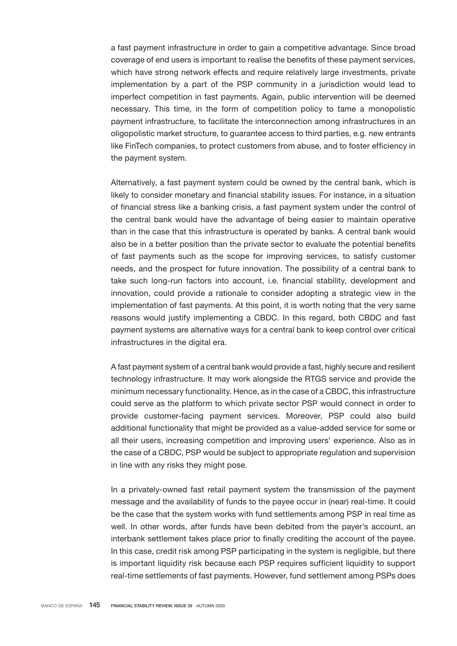a fast payment infrastructure in order to gain a competitive advantage. Since broad coverage of end users is important to realise the benefits of these payment services, which have strong network effects and require relatively large investments, private implementation by a part of the PSP community in a jurisdiction would lead to imperfect competition in fast payments. Again, public intervention will be deemed necessary. This time, in the form of competition policy to tame a monopolistic payment infrastructure, to facilitate the interconnection among infrastructures in an oligopolistic market structure, to guarantee access to third parties, e.g. new entrants like Fintech companies, to protect customers from abuse, and to foster efficiency in the payment system.

Alternatively, a fast payment system could be owned by the central bank, which is likely to consider monetary and financial stability issues. For instance, in a situation of financial stress like a banking crisis, a fast payment system under the control of the central bank would have the advantage of being easier to maintain operative than in the case that this infrastructure is operated by banks. A central bank would also be in a better position than the private sector to evaluate the potential benefits of fast payments such as the scope for improving services, to satisfy customer needs, and the prospect for future innovation. The possibility of a central bank to take such long-run factors into account, i.e. financial stability, development and innovation, could provide a rationale to consider adopting a strategic view in the implementation of fast payments. At this point, it is worth noting that the very same reasons would justify implementing a CBDC. In this regard, both CBDC and fast payment systems are alternative ways for a central bank to keep control over critical infrastructures in the digital era.

A fast payment system of a central bank would provide a fast, highly secure and resilient technology infrastructure. It may work alongside the RTGS service and provide the minimum necessary functionality. Hence, as in the case of a CBDC, this infrastructure could serve as the platform to which private sector PSP would connect in order to provide customer-facing payment services. Moreover, PSP could also build additional functionality that might be provided as a value-added service for some or all their users, increasing competition and improving users' experience. Also as in the case of a CBDC, PSP would be subject to appropriate regulation and supervision in line with any risks they might pose.

In a privately-owned fast retail payment system the transmission of the payment message and the availability of funds to the payee occur in (near) real-time. It could be the case that the system works with fund settlements among PSP in real time as well. In other words, after funds have been debited from the payer's account, an interbank settlement takes place prior to finally crediting the account of the payee. In this case, credit risk among PSP participating in the system is negligible, but there is important liquidity risk because each PSP requires sufficient liquidity to support real-time settlements of fast payments. However, fund settlement among PSPs does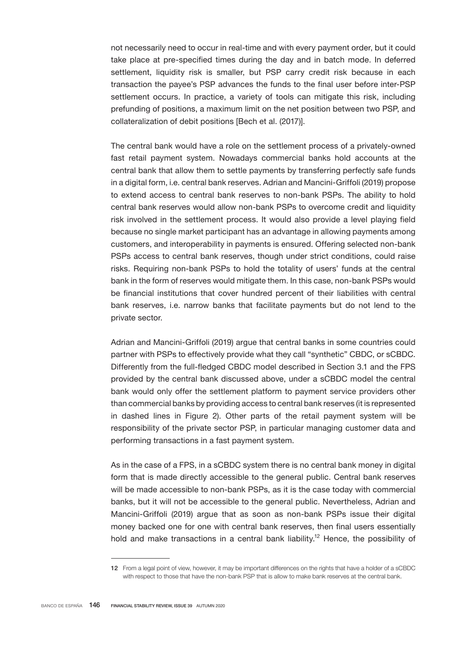not necessarily need to occur in real-time and with every payment order, but it could take place at pre-specified times during the day and in batch mode. In deferred settlement, liquidity risk is smaller, but PSP carry credit risk because in each transaction the payee's PSP advances the funds to the final user before inter-PSP settlement occurs. In practice, a variety of tools can mitigate this risk, including prefunding of positions, a maximum limit on the net position between two PSP, and collateralization of debit positions [Bech et al. (2017)].

The central bank would have a role on the settlement process of a privately-owned fast retail payment system. Nowadays commercial banks hold accounts at the central bank that allow them to settle payments by transferring perfectly safe funds in a digital form, i.e. central bank reserves. Adrian and Mancini-Griffoli (2019) propose to extend access to central bank reserves to non-bank PSPs. The ability to hold central bank reserves would allow non-bank PSPs to overcome credit and liquidity risk involved in the settlement process. It would also provide a level playing field because no single market participant has an advantage in allowing payments among customers, and interoperability in payments is ensured. Offering selected non-bank PSPs access to central bank reserves, though under strict conditions, could raise risks. Requiring non-bank PSPs to hold the totality of users' funds at the central bank in the form of reserves would mitigate them. In this case, non-bank PSPs would be financial institutions that cover hundred percent of their liabilities with central bank reserves, i.e. narrow banks that facilitate payments but do not lend to the private sector.

Adrian and Mancini-Griffoli (2019) argue that central banks in some countries could partner with PSPs to effectively provide what they call "synthetic" CBDC, or sCBDC. Differently from the full-fledged CBDC model described in Section 3.1 and the FPS provided by the central bank discussed above, under a sCBDC model the central bank would only offer the settlement platform to payment service providers other than commercial banks by providing access to central bank reserves (it is represented in dashed lines in Figure 2). Other parts of the retail payment system will be responsibility of the private sector PSP, in particular managing customer data and performing transactions in a fast payment system.

As in the case of a FPS, in a sCBDC system there is no central bank money in digital form that is made directly accessible to the general public. Central bank reserves will be made accessible to non-bank PSPs, as it is the case today with commercial banks, but it will not be accessible to the general public. Nevertheless, Adrian and Mancini-Griffoli (2019) argue that as soon as non-bank PSPs issue their digital money backed one for one with central bank reserves, then final users essentially hold and make transactions in a central bank liability.<sup>12</sup> Hence, the possibility of

<sup>12</sup> From a legal point of view, however, it may be important differences on the rights that have a holder of a sCBDC with respect to those that have the non-bank PSP that is allow to make bank reserves at the central bank.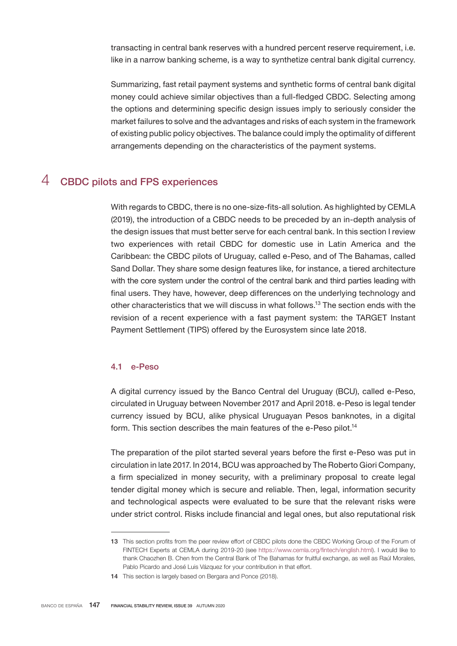transacting in central bank reserves with a hundred percent reserve requirement, i.e. like in a narrow banking scheme, is a way to synthetize central bank digital currency.

Summarizing, fast retail payment systems and synthetic forms of central bank digital money could achieve similar objectives than a full-fledged CBDC. Selecting among the options and determining specific design issues imply to seriously consider the market failures to solve and the advantages and risks of each system in the framework of existing public policy objectives. The balance could imply the optimality of different arrangements depending on the characteristics of the payment systems.

## 4 CBDC pilots and FPS experiences

With regards to CBDC, there is no one-size-fits-all solution. As highlighted by CEMLA (2019), the introduction of a CBDC needs to be preceded by an in-depth analysis of the design issues that must better serve for each central bank. In this section I review two experiences with retail CBDC for domestic use in Latin America and the Caribbean: the CBDC pilots of Uruguay, called e-Peso, and of The Bahamas, called Sand Dollar. They share some design features like, for instance, a tiered architecture with the core system under the control of the central bank and third parties leading with final users. They have, however, deep differences on the underlying technology and other characteristics that we will discuss in what follows.<sup>13</sup> The section ends with the revision of a recent experience with a fast payment system: the TARGET Instant Payment Settlement (TIPS) offered by the Eurosystem since late 2018.

#### 4.1 e-Peso

A digital currency issued by the Banco Central del Uruguay (BCU), called e-Peso, circulated in Uruguay between November 2017 and April 2018. e-Peso is legal tender currency issued by BCU, alike physical Uruguayan Pesos banknotes, in a digital form. This section describes the main features of the e-Peso pilot.<sup>14</sup>

The preparation of the pilot started several years before the first e-Peso was put in circulation in late 2017. In 2014, BCU was approached by The Roberto Giori Company, a firm specialized in money security, with a preliminary proposal to create legal tender digital money which is secure and reliable. Then, legal, information security and technological aspects were evaluated to be sure that the relevant risks were under strict control. Risks include financial and legal ones, but also reputational risk

<sup>13</sup> This section profits from the peer review effort of CBDC pilots done the CBDC Working Group of the Forum of FINTECH Experts at CEMLA during 2019-20 (see <https://www.cemla.org/fintech/english.html>). I would like to thank Chaozhen B. Chen from the Central Bank of The Bahamas for fruitful exchange, as well as Raúl Morales, Pablo Picardo and José Luis Vázquez for your contribution in that effort.

<sup>14</sup> This section is largely based on Bergara and Ponce (2018).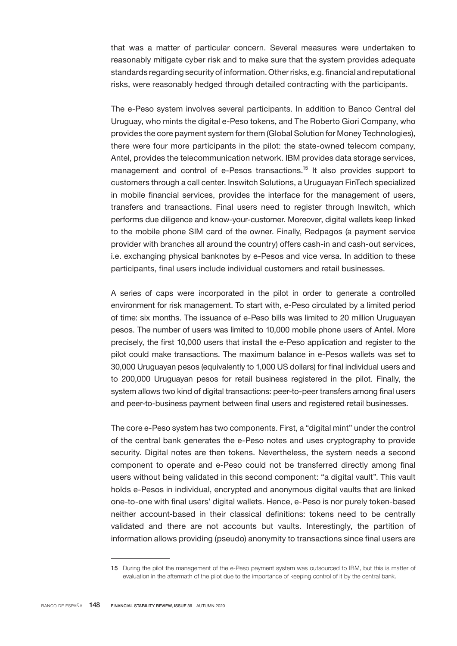that was a matter of particular concern. Several measures were undertaken to reasonably mitigate cyber risk and to make sure that the system provides adequate standards regarding security of information. Other risks, e.g. financial and reputational risks, were reasonably hedged through detailed contracting with the participants.

The e-Peso system involves several participants. In addition to Banco Central del Uruguay, who mints the digital e-Peso tokens, and The Roberto Giori Company, who provides the core payment system for them (Global Solution for Money Technologies), there were four more participants in the pilot: the state-owned telecom company, Antel, provides the telecommunication network. IBM provides data storage services, management and control of e-Pesos transactions.<sup>15</sup> It also provides support to customers through a call center. Inswitch Solutions, a Uruguayan fintech specialized in mobile financial services, provides the interface for the management of users, transfers and transactions. Final users need to register through Inswitch, which performs due diligence and know-your-customer. Moreover, digital wallets keep linked to the mobile phone SIM card of the owner. Finally, Redpagos (a payment service provider with branches all around the country) offers cash-in and cash-out services, i.e. exchanging physical banknotes by e-Pesos and vice versa. In addition to these participants, final users include individual customers and retail businesses.

A series of caps were incorporated in the pilot in order to generate a controlled environment for risk management. To start with, e-Peso circulated by a limited period of time: six months. The issuance of e-Peso bills was limited to 20 million Uruguayan pesos. The number of users was limited to 10,000 mobile phone users of Antel. More precisely, the first 10,000 users that install the e-Peso application and register to the pilot could make transactions. The maximum balance in e-Pesos wallets was set to 30,000 Uruguayan pesos (equivalently to 1,000 US dollars) for final individual users and to 200,000 Uruguayan pesos for retail business registered in the pilot. Finally, the system allows two kind of digital transactions: peer-to-peer transfers among final users and peer-to-business payment between final users and registered retail businesses.

The core e-Peso system has two components. First, a "digital mint" under the control of the central bank generates the e-Peso notes and uses cryptography to provide security. Digital notes are then tokens. Nevertheless, the system needs a second component to operate and e-Peso could not be transferred directly among final users without being validated in this second component: "a digital vault". This vault holds e-Pesos in individual, encrypted and anonymous digital vaults that are linked one-to-one with final users' digital wallets. Hence, e-Peso is nor purely token-based neither account-based in their classical definitions: tokens need to be centrally validated and there are not accounts but vaults. Interestingly, the partition of information allows providing (pseudo) anonymity to transactions since final users are

<sup>15</sup> During the pilot the management of the e-Peso payment system was outsourced to IBM, but this is matter of evaluation in the aftermath of the pilot due to the importance of keeping control of it by the central bank.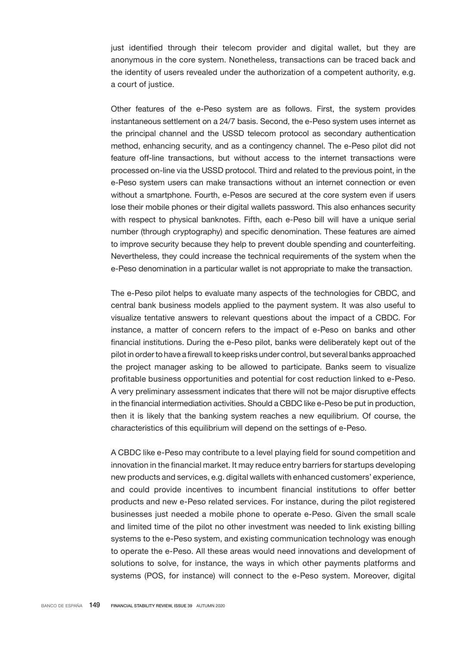just identified through their telecom provider and digital wallet, but they are anonymous in the core system. Nonetheless, transactions can be traced back and the identity of users revealed under the authorization of a competent authority, e.g. a court of justice.

Other features of the e-Peso system are as follows. First, the system provides instantaneous settlement on a 24/7 basis. Second, the e-Peso system uses internet as the principal channel and the USSD telecom protocol as secondary authentication method, enhancing security, and as a contingency channel. The e-Peso pilot did not feature off-line transactions, but without access to the internet transactions were processed on-line via the USSD protocol. Third and related to the previous point, in the e-Peso system users can make transactions without an internet connection or even without a smartphone. Fourth, e-Pesos are secured at the core system even if users lose their mobile phones or their digital wallets password. This also enhances security with respect to physical banknotes. Fifth, each e-Peso bill will have a unique serial number (through cryptography) and specific denomination. These features are aimed to improve security because they help to prevent double spending and counterfeiting. Nevertheless, they could increase the technical requirements of the system when the e-Peso denomination in a particular wallet is not appropriate to make the transaction.

The e-Peso pilot helps to evaluate many aspects of the technologies for CBDC, and central bank business models applied to the payment system. It was also useful to visualize tentative answers to relevant questions about the impact of a CBDC. For instance, a matter of concern refers to the impact of e-Peso on banks and other financial institutions. During the e-Peso pilot, banks were deliberately kept out of the pilot in order to have a firewall to keep risks under control, but several banks approached the project manager asking to be allowed to participate. Banks seem to visualize profitable business opportunities and potential for cost reduction linked to e-Peso. A very preliminary assessment indicates that there will not be major disruptive effects in the financial intermediation activities. Should a CBDC like e-Peso be put in production, then it is likely that the banking system reaches a new equilibrium. Of course, the characteristics of this equilibrium will depend on the settings of e-Peso.

A CBDC like e-Peso may contribute to a level playing field for sound competition and innovation in the financial market. It may reduce entry barriers for startups developing new products and services, e.g. digital wallets with enhanced customers' experience, and could provide incentives to incumbent financial institutions to offer better products and new e-Peso related services. For instance, during the pilot registered businesses just needed a mobile phone to operate e-Peso. Given the small scale and limited time of the pilot no other investment was needed to link existing billing systems to the e-Peso system, and existing communication technology was enough to operate the e-Peso. All these areas would need innovations and development of solutions to solve, for instance, the ways in which other payments platforms and systems (POS, for instance) will connect to the e-Peso system. Moreover, digital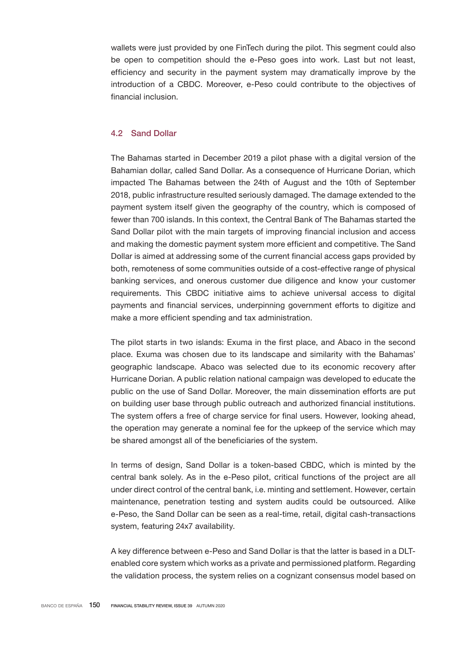wallets were just provided by one fintech during the pilot. This segment could also be open to competition should the e-Peso goes into work. Last but not least, efficiency and security in the payment system may dramatically improve by the introduction of a CBDC. Moreover, e-Peso could contribute to the objectives of financial inclusion.

## 4.2 Sand Dollar

The Bahamas started in December 2019 a pilot phase with a digital version of the Bahamian dollar, called Sand Dollar. As a consequence of Hurricane Dorian, which impacted The Bahamas between the 24th of August and the 10th of September 2018, public infrastructure resulted seriously damaged. The damage extended to the payment system itself given the geography of the country, which is composed of fewer than 700 islands. In this context, the Central Bank of The Bahamas started the Sand Dollar pilot with the main targets of improving financial inclusion and access and making the domestic payment system more efficient and competitive. The Sand Dollar is aimed at addressing some of the current financial access gaps provided by both, remoteness of some communities outside of a cost-effective range of physical banking services, and onerous customer due diligence and know your customer requirements. This CBDC initiative aims to achieve universal access to digital payments and financial services, underpinning government efforts to digitize and make a more efficient spending and tax administration.

The pilot starts in two islands: Exuma in the first place, and Abaco in the second place. Exuma was chosen due to its landscape and similarity with the Bahamas' geographic landscape. Abaco was selected due to its economic recovery after Hurricane Dorian. A public relation national campaign was developed to educate the public on the use of Sand Dollar. Moreover, the main dissemination efforts are put on building user base through public outreach and authorized financial institutions. The system offers a free of charge service for final users. However, looking ahead, the operation may generate a nominal fee for the upkeep of the service which may be shared amongst all of the beneficiaries of the system.

In terms of design, Sand Dollar is a token-based CBDC, which is minted by the central bank solely. As in the e-Peso pilot, critical functions of the project are all under direct control of the central bank, i.e. minting and settlement. However, certain maintenance, penetration testing and system audits could be outsourced. Alike e-Peso, the Sand Dollar can be seen as a real-time, retail, digital cash-transactions system, featuring 24x7 availability.

A key difference between e-Peso and Sand Dollar is that the latter is based in a DLTenabled core system which works as a private and permissioned platform. Regarding the validation process, the system relies on a cognizant consensus model based on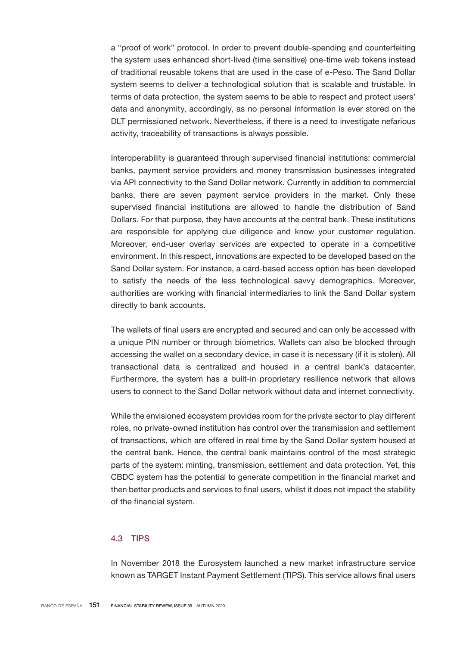a "proof of work" protocol. In order to prevent double-spending and counterfeiting the system uses enhanced short-lived (time sensitive) one-time web tokens instead of traditional reusable tokens that are used in the case of e-Peso. The Sand Dollar system seems to deliver a technological solution that is scalable and trustable. In terms of data protection, the system seems to be able to respect and protect users' data and anonymity, accordingly, as no personal information is ever stored on the DLT permissioned network. Nevertheless, if there is a need to investigate nefarious activity, traceability of transactions is always possible.

Interoperability is guaranteed through supervised financial institutions: commercial banks, payment service providers and money transmission businesses integrated via API connectivity to the Sand Dollar network. Currently in addition to commercial banks, there are seven payment service providers in the market. Only these supervised financial institutions are allowed to handle the distribution of Sand Dollars. For that purpose, they have accounts at the central bank. These institutions are responsible for applying due diligence and know your customer regulation. Moreover, end-user overlay services are expected to operate in a competitive environment. In this respect, innovations are expected to be developed based on the Sand Dollar system. For instance, a card-based access option has been developed to satisfy the needs of the less technological savvy demographics. Moreover, authorities are working with financial intermediaries to link the Sand Dollar system directly to bank accounts.

The wallets of final users are encrypted and secured and can only be accessed with a unique PIN number or through biometrics. Wallets can also be blocked through accessing the wallet on a secondary device, in case it is necessary (if it is stolen). All transactional data is centralized and housed in a central bank's datacenter. Furthermore, the system has a built-in proprietary resilience network that allows users to connect to the Sand Dollar network without data and internet connectivity.

While the envisioned ecosystem provides room for the private sector to play different roles, no private-owned institution has control over the transmission and settlement of transactions, which are offered in real time by the Sand Dollar system housed at the central bank. Hence, the central bank maintains control of the most strategic parts of the system: minting, transmission, settlement and data protection. Yet, this CBDC system has the potential to generate competition in the financial market and then better products and services to final users, whilst it does not impact the stability of the financial system.

## 4.3 TIPS

In November 2018 the Eurosystem launched a new market infrastructure service known as TARGET Instant Payment Settlement (TIPS). This service allows final users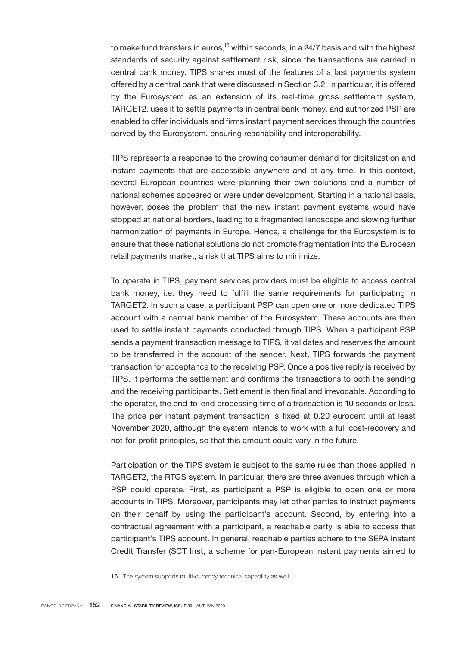to make fund transfers in euros,<sup>16</sup> within seconds, in a 24/7 basis and with the highest standards of security against settlement risk, since the transactions are carried in central bank money. TIPS shares most of the features of a fast payments system offered by a central bank that were discussed in Section 3.2. In particular, it is offered by the Eurosystem as an extension of its real-time gross settlement system, TARGET2, uses it to settle payments in central bank money, and authorized PSP are enabled to offer individuals and firms instant payment services through the countries served by the Eurosystem, ensuring reachability and interoperability.

TIPS represents a response to the growing consumer demand for digitalization and instant payments that are accessible anywhere and at any time. In this context, several European countries were planning their own solutions and a number of national schemes appeared or were under development. Starting in a national basis, however, poses the problem that the new instant payment systems would have stopped at national borders, leading to a fragmented landscape and slowing further harmonization of payments in Europe. Hence, a challenge for the Eurosystem is to ensure that these national solutions do not promote fragmentation into the European retail payments market, a risk that TIPS aims to minimize.

To operate in TIPS, payment services providers must be eligible to access central bank money, i.e. they need to fulfill the same requirements for participating in TARGET2. In such a case, a participant PSP can open one or more dedicated TIPS account with a central bank member of the Eurosystem. These accounts are then used to settle instant payments conducted through TIPS. When a participant PSP sends a payment transaction message to TIPS, it validates and reserves the amount to be transferred in the account of the sender. Next, TIPS forwards the payment transaction for acceptance to the receiving PSP. Once a positive reply is received by TIPS, it performs the settlement and confirms the transactions to both the sending and the receiving participants. Settlement is then final and irrevocable. According to the operator, the end-to-end processing time of a transaction is 10 seconds or less. The price per instant payment transaction is fixed at 0.20 eurocent until at least November 2020, although the system intends to work with a full cost-recovery and not-for-profit principles, so that this amount could vary in the future.

Participation on the TIPS system is subject to the same rules than those applied in TARGET2, the RTGS system. In particular, there are three avenues through which a PSP could operate. First, as participant a PSP is eligible to open one or more accounts in TIPS. Moreover, participants may let other parties to instruct payments on their behalf by using the participant's account. Second, by entering into a contractual agreement with a participant, a reachable party is able to access that participant's TIPS account. In general, reachable parties adhere to the SEPA Instant Credit Transfer (SCT Inst, a scheme for pan-European instant payments aimed to

<sup>16</sup> The system supports multi-currency technical capability as well.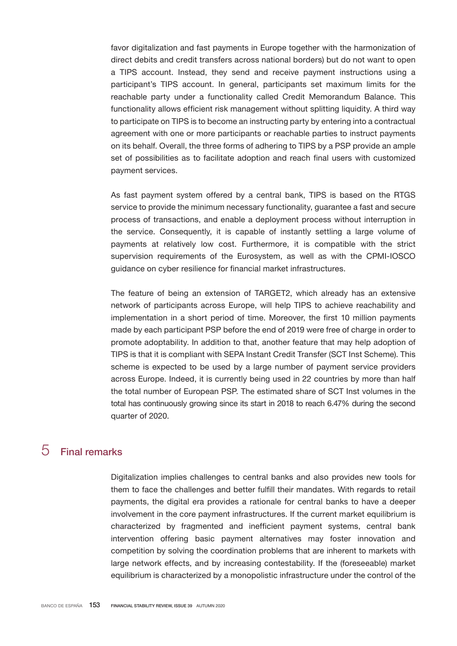favor digitalization and fast payments in Europe together with the harmonization of direct debits and credit transfers across national borders) but do not want to open a TIPS account. Instead, they send and receive payment instructions using a participant's TIPS account. In general, participants set maximum limits for the reachable party under a functionality called Credit Memorandum Balance. This functionality allows efficient risk management without splitting liquidity. A third way to participate on TIPS is to become an instructing party by entering into a contractual agreement with one or more participants or reachable parties to instruct payments on its behalf. Overall, the three forms of adhering to TIPS by a PSP provide an ample set of possibilities as to facilitate adoption and reach final users with customized payment services.

As fast payment system offered by a central bank, TIPS is based on the RTGS service to provide the minimum necessary functionality, guarantee a fast and secure process of transactions, and enable a deployment process without interruption in the service. Consequently, it is capable of instantly settling a large volume of payments at relatively low cost. Furthermore, it is compatible with the strict supervision requirements of the Eurosystem, as well as with the CPMI-IOSCO guidance on cyber resilience for financial market infrastructures.

The feature of being an extension of TARGET2, which already has an extensive network of participants across Europe, will help TIPS to achieve reachability and implementation in a short period of time. Moreover, the first 10 million payments made by each participant PSP before the end of 2019 were free of charge in order to promote adoptability. In addition to that, another feature that may help adoption of TIPS is that it is compliant with SEPA Instant Credit Transfer (SCT Inst Scheme). This scheme is expected to be used by a large number of payment service providers across Europe. Indeed, it is currently being used in 22 countries by more than half the total number of European PSP. The estimated share of SCT Inst volumes in the total has continuously growing since its start in 2018 to reach 6.47% during the second quarter of 2020.

# 5 Final remarks

Digitalization implies challenges to central banks and also provides new tools for them to face the challenges and better fulfill their mandates. With regards to retail payments, the digital era provides a rationale for central banks to have a deeper involvement in the core payment infrastructures. If the current market equilibrium is characterized by fragmented and inefficient payment systems, central bank intervention offering basic payment alternatives may foster innovation and competition by solving the coordination problems that are inherent to markets with large network effects, and by increasing contestability. If the (foreseeable) market equilibrium is characterized by a monopolistic infrastructure under the control of the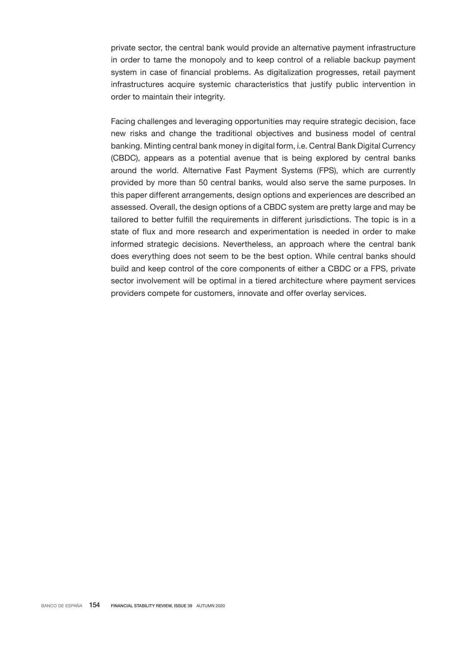private sector, the central bank would provide an alternative payment infrastructure in order to tame the monopoly and to keep control of a reliable backup payment system in case of financial problems. As digitalization progresses, retail payment infrastructures acquire systemic characteristics that justify public intervention in order to maintain their integrity.

Facing challenges and leveraging opportunities may require strategic decision, face new risks and change the traditional objectives and business model of central banking. Minting central bank money in digital form, i.e. Central Bank Digital Currency (CBDC), appears as a potential avenue that is being explored by central banks around the world. Alternative Fast Payment Systems (FPS), which are currently provided by more than 50 central banks, would also serve the same purposes. In this paper different arrangements, design options and experiences are described an assessed. Overall, the design options of a CBDC system are pretty large and may be tailored to better fulfill the requirements in different jurisdictions. The topic is in a state of flux and more research and experimentation is needed in order to make informed strategic decisions. Nevertheless, an approach where the central bank does everything does not seem to be the best option. While central banks should build and keep control of the core components of either a CBDC or a FPS, private sector involvement will be optimal in a tiered architecture where payment services providers compete for customers, innovate and offer overlay services.